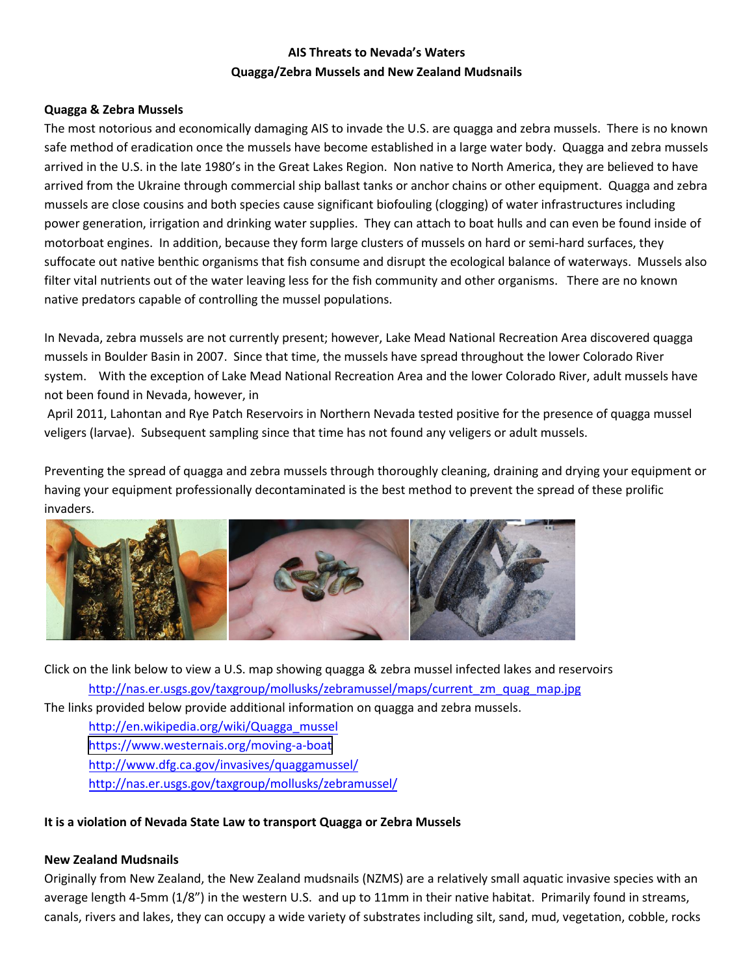## **AIS Threats to Nevada's Waters Quagga/Zebra Mussels and New Zealand Mudsnails**

## **Quagga & Zebra Mussels**

The most notorious and economically damaging AIS to invade the U.S. are quagga and zebra mussels. There is no known safe method of eradication once the mussels have become established in a large water body. Quagga and zebra mussels arrived in the U.S. in the late 1980's in the Great Lakes Region. Non native to North America, they are believed to have arrived from the Ukraine through commercial ship ballast tanks or anchor chains or other equipment. Quagga and zebra mussels are close cousins and both species cause significant biofouling (clogging) of water infrastructures including power generation, irrigation and drinking water supplies. They can attach to boat hulls and can even be found inside of motorboat engines. In addition, because they form large clusters of mussels on hard or semi-hard surfaces, they suffocate out native benthic organisms that fish consume and disrupt the ecological balance of waterways. Mussels also filter vital nutrients out of the water leaving less for the fish community and other organisms. There are no known native predators capable of controlling the mussel populations.

In Nevada, zebra mussels are not currently present; however, Lake Mead National Recreation Area discovered quagga mussels in Boulder Basin in 2007. Since that time, the mussels have spread throughout the lower Colorado River system. With the exception of Lake Mead National Recreation Area and the lower Colorado River, adult mussels have not been found in Nevada, however, in

April 2011, Lahontan and Rye Patch Reservoirs in Northern Nevada tested positive for the presence of quagga mussel veligers (larvae). Subsequent sampling since that time has not found any veligers or adult mussels.

Preventing the spread of quagga and zebra mussels through thoroughly cleaning, draining and drying your equipment or having your equipment professionally decontaminated is the best method to prevent the spread of these prolific invaders.



Click on the link below to view a U.S. map showing quagga & zebra mussel infected lakes and reservoirs [http://nas.er.usgs.gov/taxgroup/mollusks/zebramussel/maps/current\\_zm\\_quag\\_map.jpg](http://nas.er.usgs.gov/taxgroup/mollusks/zebramussel/maps/current_zm_quag_map.jpg) 

The links provided below provide additional information on quagga and zebra mussels.

[http://en.wikipedia.org/wiki/Quagga\\_mussel](http://en.wikipedia.org/wiki/Quagga_mussel)  [https://www.westernais.org/moving-a-boa](http://www.100thmeridian.org/zebras.asp)[t](https://www.westernais.org/moving-a-boat) <http://www.dfg.ca.gov/invasives/quaggamussel/> <http://nas.er.usgs.gov/taxgroup/mollusks/zebramussel/>

## **It is a violation of Nevada State Law to transport Quagga or Zebra Mussels**

## **New Zealand Mudsnails**

Originally from New Zealand, the New Zealand mudsnails (NZMS) are a relatively small aquatic invasive species with an average length 4-5mm (1/8") in the western U.S. and up to 11mm in their native habitat. Primarily found in streams, canals, rivers and lakes, they can occupy a wide variety of substrates including silt, sand, mud, vegetation, cobble, rocks